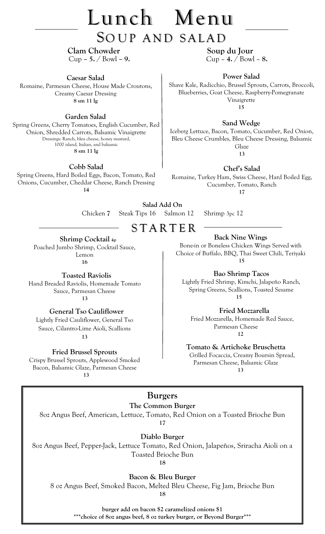# Lunch Menu

## SOUP AND SALAD

**Clam Chowder** Soup du Jour Cup **– 5.** / Bowl **– 9.** Cup – **4.** / Bowl – **8.**

**Caesar Salad** 

Romaine, Parmesan Cheese, House Made Croutons, Creamy Caesar Dressing **8 sm 11 lg**

#### **Garden Salad**

Spring Greens, Cherry Tomatoes, English Cucumber, Red Onion, Shredded Carrots, Balsamic Vinaigrette Dressings: Ranch, bleu cheese, honey mustard, 1000 island, Italian, and balsamic **8 sm 11 lg**

**Cobb Salad**

Spring Greens, Hard Boiled Eggs, Bacon, Tomato, Red Onions, Cucumber, Cheddar Cheese, Ranch Dressing **14**

**Power Salad**

Shave Kale, Radicchio, Brussel Sprouts, Carrots, Broccoli, Blueberries, Goat Cheese, Raspberry-Pomegranate Vinaigrette **15**

**Sand Wedge**

Iceberg Lettuce, Bacon, Tomato, Cucumber, Red Onion, Bleu Cheese Crumbles, Bleu Cheese Dressing, Balsamic Glaze **13**

**Chef's Salad**

Romaine, Turkey Ham, Swiss Cheese, Hard Boiled Egg, Cucumber, Tomato, Ranch **17**

**Salad Add On**

Chicken **7** Steak Tips 16Salmon 12Shrimp 3pc 12

### S T A R T E R

 **Shrimp Cocktail 4p** Poached Jumbo Shrimp, Cocktail Sauce, Lemon **16**

 **Toasted Raviolis** Hand Breaded Raviolis, Homemade Tomato Sauce, Parmesan Cheese  **13**

 **General Tso Cauliflower** Lightly Fried Cauliflower, General Tso Sauce, Cilantro-Lime Aioli, Scallions **13**

**Fried Brussel Sprouts**

Crispy Brussel Sprouts, Applewood Smoked Bacon, Balsamic Glaze, Parmesan Cheese  **13**

**Back Nine Wings** 

Bone-in or Boneless Chicken Wings Served with Choice of Buffalo, BBQ, Thai Sweet Chili, Teriyaki  **15**

 **Bao Shrimp Tacos**

Lightly Fried Shrimp, Kimchi, Jalapeño Ranch, Spring Greens, Scallions, Toasted Sesame  **15**

 **Fried Mozzarella**

 Fried Mozzarella, Homemade Red Sauce, Parmesan Cheese  **12**

**Tomato & Artichoke Bruschetta**

 Grilled Focaccia, Creamy Boursin Spread, Parmesan Cheese, Balsamic Glaze  **13**

#### **Burgers**

**The Common Burger**

8oz Angus Beef, American, Lettuce, Tomato, Red Onion on a Toasted Brioche Bun

**17**

**Diablo Burger**

8oz Angus Beef, Pepper-Jack, Lettuce Tomato, Red Onion, Jalapeños, Sriracha Aioli on a Toasted Brioche Bun

**18**

**Bacon & Bleu Burger**

8 oz Angus Beef, Smoked Bacon, Melted Bleu Cheese, Fig Jam, Brioche Bun

**18**

**burger add on bacon \$2 caramelized onions \$1 \*\*\*choice of 8oz angus beef, 8 oz turkey burger, or Beyond Burger\*\*\***